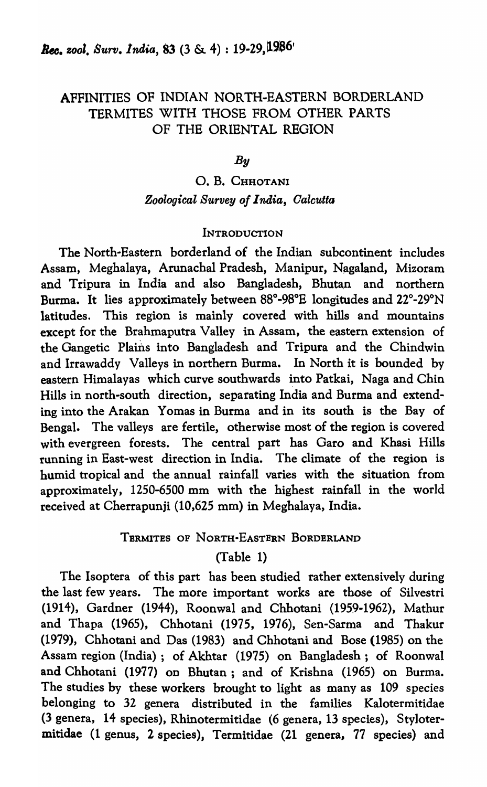## AFFINITIES OF INDIAN NORTH-EASTERN BORDERLAND TERMITES WITH THOSE FROM OTHER PARTS OF THE ORIENTAL REGION

### *By*

## O. B. CHHOTANI *Zoological Survey of 1 naia, Oalcutta*

#### **INTRODUCTION**

The North-Eastern borderland of the Indian subcontinent includes Assam, Meghalaya, Arunachal Pradesh, Manipur, Nagaland, Mizoram and Tripura in India and also Bangladesh, Bhutan and northern Burma. It lies approximately between 88°-98°E longitudes and 22°·29°N latitudes. This region is mainly covered with hills and mountains except for the Brahmaputra Valley in Assam, the eastern extension of the Gangetic Plains into Bangladesh and Tripura and the Chindwin and Irrawaddy Valleys in northern Burma. In North it is bounded by eastern Himalayas which curve southwards into Patkai, Naga and Chin Hills in north-south direction, separating India and Burma and extending into the Arakan Yomas in Burma and in its south is the Bay of Bengal. The valleys are fertile, otherwise most of the region is covered with evergreen forests. The central part has Garo and Khasi Hills running in East-west direction in India. The climate of the region is humid tropical and the annual rainfall varies with the situation from approximately, 1250-6500 mm with the highest rainfall in the world received at Cherrapunji (10,625 mm) in Meghalaya, India.

## TERMITES OF NORTH-EASTERN BORDERLAND

## (Table 1)

The Isoptera of this part has been studied rather extensively during the last few years. The more important works are those of Silvestri (1914), Gardner (1944), Roonwal and Chhotani (1959-1962), Mathur and Thapa (1965), Chhotani (1975, 1976), Sen-Sarma and Thakur (1979), Chhotani and Das (1983) and Chhotani and Bose (1985) on the Assam region (India); of Akhtar (1975) on Bangladesh; of Roonwal and Chhotani (1977) on Bhutan; and of Krishna (1965) on Burma. The studies by these workers brought to light as many as 109 species belonging to 32 genera distributed in the families Kalotermitidae (3 genera, 14 species), Rhinotermitidae (6 genera, 13 species), Sty]otermitidae (1 genus, 2 species), Termitidae (21 genera, 77 species) and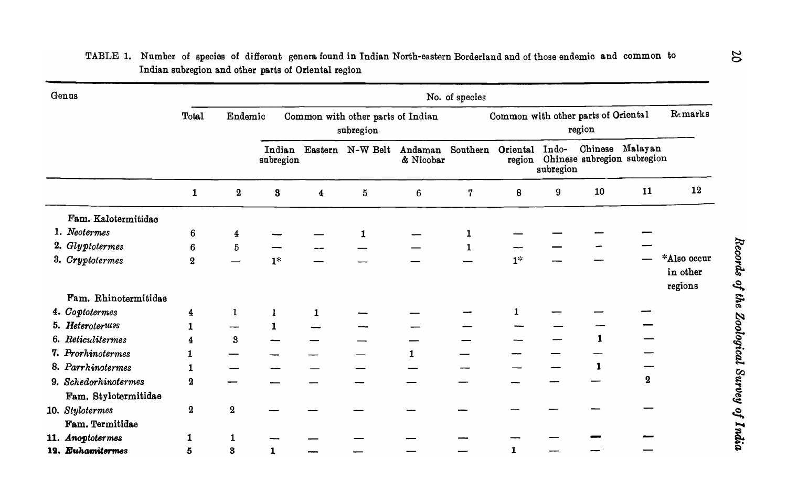| Genus |                                              | No. of species   |                         |                                                |                         |                  |                      |                                               |                |           |         |                                               |                                    |
|-------|----------------------------------------------|------------------|-------------------------|------------------------------------------------|-------------------------|------------------|----------------------|-----------------------------------------------|----------------|-----------|---------|-----------------------------------------------|------------------------------------|
|       |                                              | Total            | Endemic                 | Common with other parts of Indian<br>subregion |                         |                  |                      | Common with other parts of Oriental<br>region |                |           |         |                                               | Remarks                            |
|       |                                              |                  |                         | Indian<br>subregion                            |                         | Eastern N-W Belt | Andaman<br>& Nicobar | Southern                                      | Oriental Indo- | subregion | Chinese | Malayan<br>region Chinese subregion subregion |                                    |
|       |                                              | $\mathbf{1}$     | $\boldsymbol{2}$        | $\bf{3}$                                       | $\overline{\mathbf{4}}$ | 5                | 6                    | 7                                             | 8              | 9         | 10      | 11                                            | 12                                 |
|       | Fam. Kalotermitidae                          |                  |                         |                                                |                         |                  |                      |                                               |                |           |         |                                               |                                    |
|       | 1. Neotermes                                 | 6                | $\overline{\mathbf{4}}$ |                                                |                         | 1                |                      | 1                                             |                |           |         |                                               |                                    |
|       | 2. Glyptotermes                              | 6                | $\bf 5$                 |                                                |                         |                  |                      | $\mathbf{1}$                                  |                |           |         |                                               |                                    |
|       | 3. Cryptotermes                              | $\boldsymbol{2}$ |                         | $1*$                                           |                         |                  |                      |                                               | $1^*$          |           |         |                                               | *Also occur<br>in other<br>regions |
|       | Fam. Rhinotermitidae                         |                  |                         |                                                |                         |                  |                      |                                               |                |           |         |                                               |                                    |
|       | 4. Coptotermes                               | 4                | 1                       | 1                                              | $\mathbf{1}$            |                  |                      |                                               |                |           |         |                                               |                                    |
|       | 5. Heteroterwas                              | 1                | --                      | $\mathbf{1}$                                   |                         |                  |                      |                                               |                |           |         |                                               |                                    |
|       | 6. Reticulitermes                            | 4                | $\bf{3}$                |                                                |                         |                  |                      |                                               |                |           | 1       |                                               |                                    |
|       | 7. Prorhinotermes                            | 1                |                         |                                                |                         |                  | $\mathbf{1}$         |                                               |                |           |         |                                               |                                    |
|       | 8. Parrhinotermes                            | 1                |                         |                                                |                         |                  |                      |                                               |                |           | 1       |                                               |                                    |
|       | 9. Schedorhinotermes<br>Fam. Stylotermitidae | $\bf{a}$         |                         |                                                |                         |                  |                      |                                               |                |           |         | $\bf{2}$                                      |                                    |
|       | 10. Stylotermes<br>Fam. Termitidae           | $\bf{2}$         | $\bf{2}$                |                                                |                         |                  |                      |                                               |                |           |         |                                               |                                    |
|       | 11. Anoptotermes                             | 1                | 1                       |                                                |                         |                  |                      |                                               |                |           |         |                                               |                                    |
|       | 12. Euhamitermes                             | 5                | $\bf{3}$                | 1                                              |                         |                  |                      |                                               | 1              |           |         |                                               |                                    |

### TABLE 1. Number of species of different genera found in Indian North-eastern Borderland and of those endemic and common to Indian subregion and other parts of Oriental region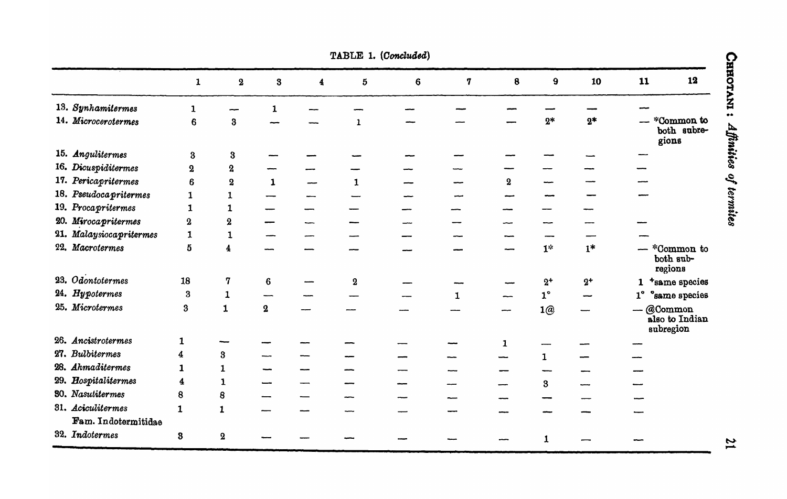| TABLE 1. (Concluded)    |                         |                         |                         |                         |                |                |   |              |                      |       |                                            |
|-------------------------|-------------------------|-------------------------|-------------------------|-------------------------|----------------|----------------|---|--------------|----------------------|-------|--------------------------------------------|
|                         | ${\bf 1}$               | $\bf{2}$                | $\bf{3}$                | $\overline{\mathbf{4}}$ | $\mathfrak{b}$ | $6\phantom{a}$ | 7 | 8            | $\boldsymbol{9}$     | 10    | 12<br>11                                   |
| 13. Synhamitermes       | 1                       |                         | 1                       |                         |                |                |   |              |                      |       |                                            |
| 14. Microcerotermes     | 6                       | $\bf{3}$                |                         |                         | $\mathbf{1}$   |                |   |              | $2*$                 | $2*$  | *Common to<br>both subre-<br>gions         |
| 15. Angulitermes        | $\bf{3}$                | $\bf{3}$                |                         |                         |                |                |   |              |                      |       |                                            |
| 16. Dicuspiditermes     | $\overline{2}$          | ${\bf 2}$               |                         |                         |                |                |   |              |                      |       |                                            |
| 17. Pericapritermes     | 6                       | $\bf{2}$                | $\mathbf{1}$            |                         | $\mathbf{1}$   |                |   | $\bf{2}$     |                      |       |                                            |
| 18. Pseudoca pritermes  | 1                       | 1                       |                         |                         |                |                |   |              |                      |       |                                            |
| 19. Procapritermes      | $\mathbf{1}$            | $\mathbf{1}$            |                         |                         |                |                |   |              |                      |       |                                            |
| 20. Mirocapritermes     | $\bf{2}$                | $\boldsymbol{2}$        |                         |                         |                |                |   |              |                      |       |                                            |
| 21. Malaysiocapritermes | $\mathbf{1}$            | 1                       |                         |                         |                |                |   |              |                      |       |                                            |
| 22. Macrotermes         | 5                       | $\overline{4}$          |                         |                         |                |                |   |              | $\mathbf{1}^{\star}$ | $1*$  | - *Common to<br>both sub-<br>regions       |
| 23. Odontotermes        | 18                      | 7                       | $6\phantom{1}6$         |                         | $\bf{2}$       |                |   |              | $2^+$                | $2^+$ | 1 +same species                            |
| 24. Hypotermes          | $\bf{3}$                | $\mathbf{1}$            |                         |                         |                |                | 1 |              | $1^{\circ}$          |       | 1° °same species                           |
| 25. Microtermes         | $\bf{3}$                | $\mathbf{1}$            | $\overline{\mathbf{2}}$ |                         |                |                |   |              | 1@                   |       | $-$ @Common<br>also to Indian<br>subregion |
| 26. Ancistrotermes      | 1                       |                         |                         |                         |                |                |   | $\mathbf{1}$ |                      |       |                                            |
| 27. Bulbitermes         | 4                       | $\bf{3}$                |                         |                         |                |                |   |              | $\mathbf{1}$         |       |                                            |
| 28. Ahmaditermes        | $\mathbf{1}$            | $\mathbf{1}$            |                         |                         |                |                |   |              |                      |       |                                            |
| 29. Hospitalitermes     | $\overline{\mathbf{4}}$ | $\mathbf{1}$            |                         |                         |                |                |   |              | $\bf{3}$             |       |                                            |
| <b>30.</b> Nasutitermes | 8                       | 8                       |                         |                         |                |                |   |              |                      |       |                                            |
| 31. Aciculitermes       | $\mathbf{1}$            | $\mathbf{1}$            |                         |                         |                |                |   |              |                      |       |                                            |
| Fam. Indotermitidae     |                         |                         |                         |                         |                |                |   |              |                      |       |                                            |
| 32. Indotermes          | $\bf{3}$                | $\overline{\mathbf{2}}$ |                         |                         |                |                |   |              | 1                    |       |                                            |

 $\boldsymbol{\mathfrak{z}}$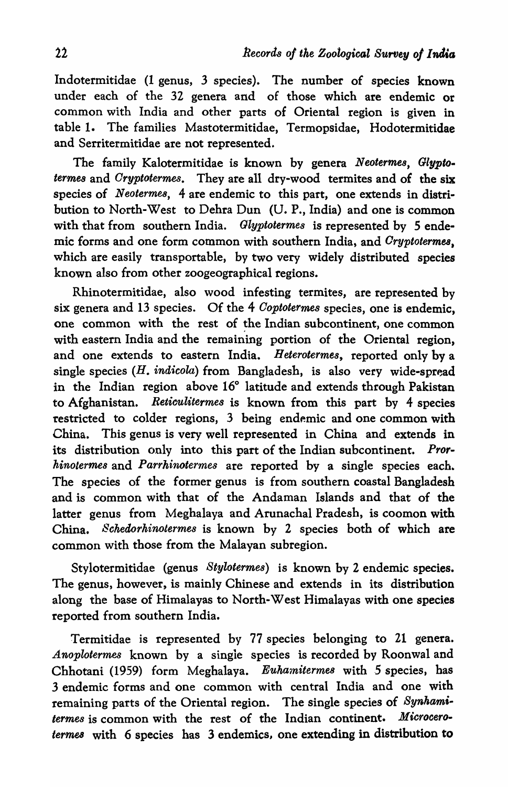Indotermitidae (1 genus, 3 species). The number of species known under each of the 32 genera and of those which are endemic or common with India and other parts of Oriental region is given in table 1. The families Mastotermitidae, Termopsidae, Hodotermitidae and Serritermitidae are not represented.

The family Kalotermitidae is known by genera *Neotermes*, Glypto*termes* and *Oryptotermes.* They are all dry-wood termites and of the six species of *Neotermes*, 4 are endemic to this part, one extends in distribution to North-West to Dehra Dun (U. P., India) and one is common with that from southern India. *Glyptotermes* is represented by 5 endemic forms and one form common with southern India, and *Oryptotermes,*  which are easily transportable, by two very widely distributed species known also from other zoogeographical regions.

Rhinotermitidae, also wood infesting termites, are represented by six genera and 13 species. Of the 4 *Ooptotermes* species, one is endemic, one common with the rest of the Indian subcontinent, one common with eastern India and the remaining portion of the Oriental region, and one extends to eastern India. Heterotermes, reported only by a  $single species (H. *indicola*) from Bangladesh, is also very wide-spread)$ in the Indian region above 16° latitude and extends through Pakistan to Afghanistan. *Reticulitermes* is known from this part by 4 species restricted to colder regions, 3 being endemic and one common with China. This genus is very well represented in China and extends in its distribution only into this part of the Indian subcontinent. *Prorhinotermes* and *Parrkinotermes* are reported by a single species each. The species of the former genus is from southern coastal Bangladesh and is common with that of the Andaman Islands and that of the latter genus from Meghalaya and Arunachal Pradesh, is coomon with China. *Schedorkinotermes* is known by 2 species both of which are common with those from the Malayan subregion.

Stylotermitidae (genus *Stylotermes)* is known by 2 endemic species. The genus, however, is mainly Chinese and extends in its distribution along the base of Himalayas to North-West Himalayas with one species reported from southern India.

Termitidae is represented by 77 species belonging to 21 genera. *Anoplotermes* known by a single species is recorded by Roonwal and Chhotani (1959) form Meghalaya. *Eukamitermes* with 5 species, has 3 endemic forms and one common with central India and one with remaining parts of the Oriental region. The single species of *Synhamitermes* is common with the rest of the Indian continent. *Microcerotermes* with 6 species has 3 endemics, one extending in distribution to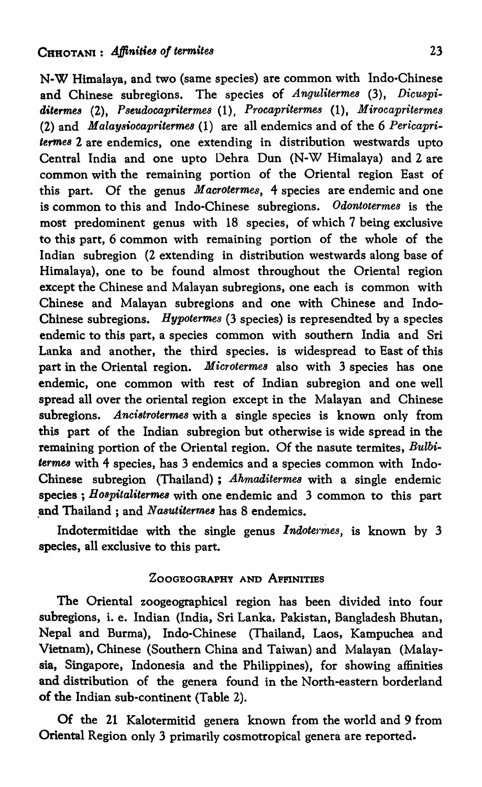N-W Himalaya, and two (same species) are common with Indo-Chinese and Chinese subregions. The species of *Angulitermes* (3), *Dicuspi*ditermes (2), *Pseudocapritermes* (1), *Procapritermes* (1), *Mirocapritermes* (2) and *Malaysiocapritermes* (1) are all endemics and of the 6 *Pericapri- 'erme8* 2 are endemics, one extending in distribution westwards upto Central India and one upto Dehra Dun (N-W Himalaya) and 2 are common with the remaining portion of the Oriental region East of this part. Of the genus *M acrotermes,* 4 species are endemic and one is common to this and Indo-Chinese subregions. *Odontotermes* is the most predominent genus with 18 species, of which 7 being exclusive to this part, 6 common with remaining portion of the whole of the Indian subregion (2 extending in distribution westwards along base of Himalaya), one to be found almost throughout the Oriental region except the Chinese and Malayan subregions, one each is common with Chinese and Malayan subregions and one with Chinese and Indo-Chinese subregions. *Hypotermes* (3 species) is represendted by a species endemic to this part, a species common with southern India and Sri Lanka and another, the third species. is widespread to East of this part in the Oriental region. *Microtermes* also with 3 species has one endemic, one common with rest of Indian subregion and one well spread all over the oriental region except in the Malayan and Chinese subregions. *Ancistrotermes* with a single species is known only from this part of the Indian subregion but otherwise is wide spread in the remaining portion of the Oriental region. Of the nasute termites, *Bulbi- 'ermes* with 4 species, has 3 endemics and a species common with Indo-Chinese subregion (Thailand); *Ahmaditermes* with a single endemic species; *Hospitalitermea* with one endemic and 3 common to this part and Thailand ; and *Nasutiternes* has 8 endemics.

Indotermitidae with the single genus *Indotermes*, is known by 3 species, all exclusive to this part.

### ZOOGEOGRAPHY AND APFINITIES

The Oriental zoogeographicql region has been divided into four subregions, i. e. Indian (India, Sri Lanka, Pakistan, Bangladesh Bhutan, Nepal and Burma), Indo-Chinese (Thailand, Laos, Kampuchea and Vietnam), Chinese (Southern China and Taiwan) and Malayan (Malaysia, Singapore, Indonesia and the Philippines), for showing affinities and distribution of the genera found in the North-eastern borderland of the Indian sub-continent (Table 2).

Of the 21 Kalotermitid genera known from the world and 9 from Oriental Region only 3 primarily cosmotropical genera are reported.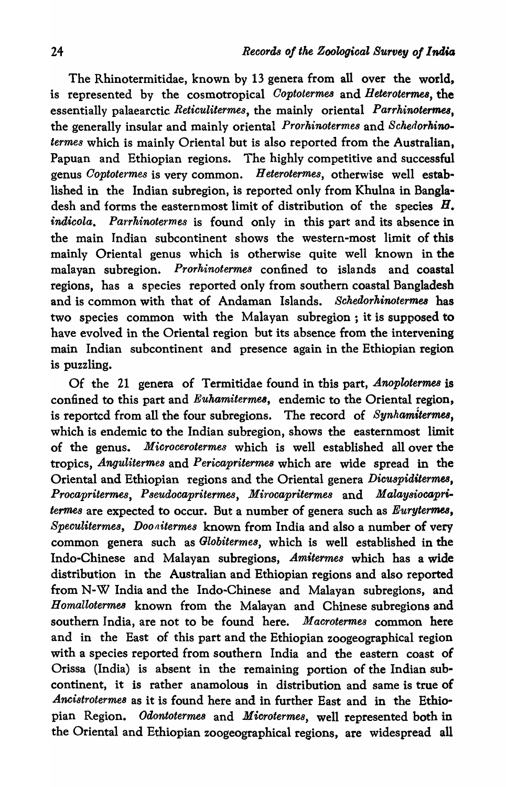The Rhinotermitidae, known by 13 genera from all over the world, is represented by the cosmotropical *Ooptoterme8* and *Heteroterme8,* the essentially palaearctic *Reticulitermes,* the mainly oriental *Parrhinotermes,*  the generally insular and mainly oriental *Prorhinotermes* and *Schedorhinotermes* which is mainly Oriental but is also reported from the Australian, Papuan and Ethiopian regions. The highly competitive and successful genus *Ooptotermes* is very common. *H eterotermes,* otherwise well established in the Indian subregion, is reported only from Khulna in Bangladesh and forms the easternmost limit of distribution of the species  $H$ . *inaicola. Parrhinotermes* is found only in this part and its absence in the main Indian subcontinent shows the western-most limit of this mainly Oriental genus which is otherwise quite well known in the malayan subregion. *Prorkinotermes* confined to islands and coastal regions, has a species reported only from southern coastal Bangladesh and is common with that of Andaman Islands. *Schedorkinotermes* has two species common with the Malayan subregion; it is supposed to have evolved in the Oriental region but its absence from the intervening main Indian subcontinent and presence again in the Ethiopian region is puzzling.

Of the 21 genera of Termitidae found in this part, *Anoplotermes* is confined to this part and *Euhamiterme8,* endemic to the Oriental region, is reported from all the four subregions. The record of *Synhamitermes,*  which is endemic to the Indian subregion, shows the easternmost limit of the genus. *Microcerotermes* which is well established allover the tropics, *Angulitermes* and *Pericapritermes* which are wide spread in the Oriental and Ethiopian regions and the Oriental genera *Dicuspiditerme8, Procapritermes, Pseudocapritermes, Mirocapritermes* and *Malaysiocapritermes* are expected to occur. But a number of genera such as *Eurytermea, Speculitermes, Doonitermes* known from India and also a number of very common genera such as *Globitermes,* which is well established in the Indo-Chinese and Malayan subregions, *Amitermes* which has a wide distribution in the Australian and Ethiopian regions and also reported from N-W India and the Indo-Chinese and Malayan subregions, and *Homallotermes* known from the Malayan and Chinese subregions and southern India, are not to be found here. *Macrotermes* common here and in the East of this part and the Ethiopian zoogeographical region with a species reported from southern India and the eastern coast of Orissa (India) is absent in the remaining portion of the Indian subcontinent, it is rather anamolous in distribution and same is true of *.Ancistrotermes* as it is found here and in further East and in the Ethiopian Region. *Odontotermes* and *Microtermes,* well represented both in the Oriental and Ethiopian zoogeographical regions, are widespread all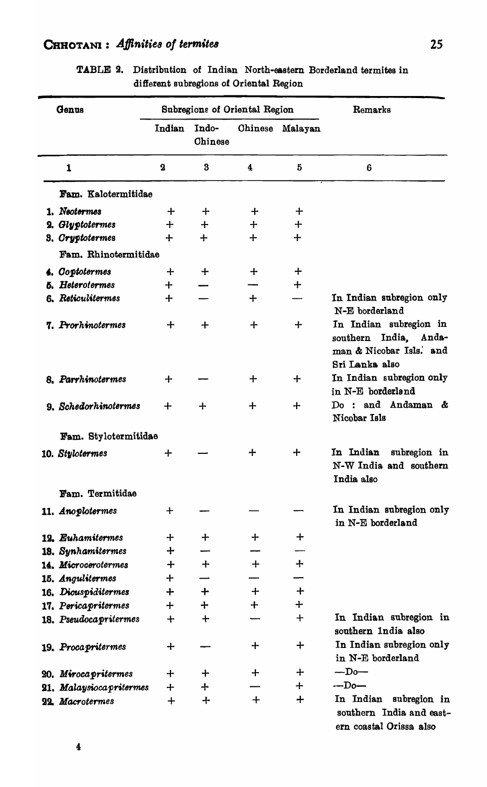# CHHOTANI: Affinities of termites

| Genus |                          |             |                  | Subregions of Oriental Region | Remarks  |                                                                                              |  |
|-------|--------------------------|-------------|------------------|-------------------------------|----------|----------------------------------------------------------------------------------------------|--|
|       |                          | Indian      | Indo-<br>Chinese | <b>Chinese</b>                | Malayan  |                                                                                              |  |
|       | $\mathbf{1}$             | $\bf{2}$    | $\bf{3}$         | 4                             | $\bf{5}$ | 6                                                                                            |  |
|       | Fam. Kalotermitidae      |             |                  |                               |          |                                                                                              |  |
|       | 1. Neotermes             | ┿           | ┿                | ┿                             | $\div$   |                                                                                              |  |
|       | 2. Glyptotermes          | $+$         | ┿                | ┿                             | $\div$   |                                                                                              |  |
|       | 3. Cryptotermes          | $\div$      | ┿                | $+$                           | $+$      |                                                                                              |  |
|       | Fam. Rhinotermitidae     |             |                  |                               |          |                                                                                              |  |
|       | 4. Coptotermes           | ┿           | ┿                | ┿                             | ┿        |                                                                                              |  |
|       | <b>5. Heterotermes</b>   | $+$         |                  |                               | $+$      |                                                                                              |  |
|       | 6. Reticulitermes        | $+$         |                  | ┿                             |          | In Indian subregion only<br>N-E borderland                                                   |  |
|       | 7. Prorhinotermes        | ┿           | $\div$           | $\div$                        | $\div$   | In Indian subregion in<br>southern India, Anda-<br>man & Nicobar Isls. and<br>Sri Lanka also |  |
|       | 8. Parrhinotermes        | $\div$      |                  | ┿                             | $+$      | In Indian subregion only<br>in N-E borderland                                                |  |
|       | 9. Schedorhinotermes     | ┿           | ┿                | ┿                             | $\div$   | Do: and Andaman &<br>Nicobar Isls                                                            |  |
|       | Fam. Stylotermitidae     |             |                  |                               |          |                                                                                              |  |
|       | 10. Stylotermes          | $\div$      |                  | ┿                             | $\div$   | In Indian<br>subregion in<br>N-W India and southern<br>India also                            |  |
|       | Fam. Termitidae          |             |                  |                               |          |                                                                                              |  |
|       | 11. Anoplotermes         | $\bm{+}$    |                  |                               |          | In Indian subregion only<br>in N-E borderland                                                |  |
|       | 12. Euhamitermes         | ┿           | ╈                | ┿                             | $\div$   |                                                                                              |  |
|       | 18. Synhamitermes        | ┿           |                  |                               |          |                                                                                              |  |
|       | 14. Microcerotermes      | ┿           | $\div$           | ┿                             | ┿        |                                                                                              |  |
|       | 15. Angulitermes         | ┿           |                  |                               |          |                                                                                              |  |
|       | 16. Dicuspiditermes      | $\div$      | $\div$           | $+$                           | ┿        |                                                                                              |  |
|       | 17. Pericapritermes      | $\div$      | ┿                | $\div$                        | $\div$   |                                                                                              |  |
|       | 18. Pseudocapritermes    | $\mathbf +$ | $\mathbf +$      |                               | $+$      | In Indian subregion in<br>southern India also                                                |  |
|       | 19. Procapritermes       | $\div$      |                  | ┿                             | $\div$   | In Indian subregion only<br>in N-E borderland                                                |  |
|       | 20. Miroca pritermes     | ╈           | ┿                | ┿                             | ╈        | $-Do-$                                                                                       |  |
|       | 21. Malaysioca pritermes | $\div$      | ┿                |                               | $\div$   | $-Do-$                                                                                       |  |
|       | 22. Macrotermes          | $\div$      | ┿                | $\bm{+}$                      | ┿        | In Indian<br>subregion in<br>southern India and east-                                        |  |

TABLE 2. Distribution of Indian North-eastern Borderland termites in different subregions of Oriental Region

ern coastal Orissa also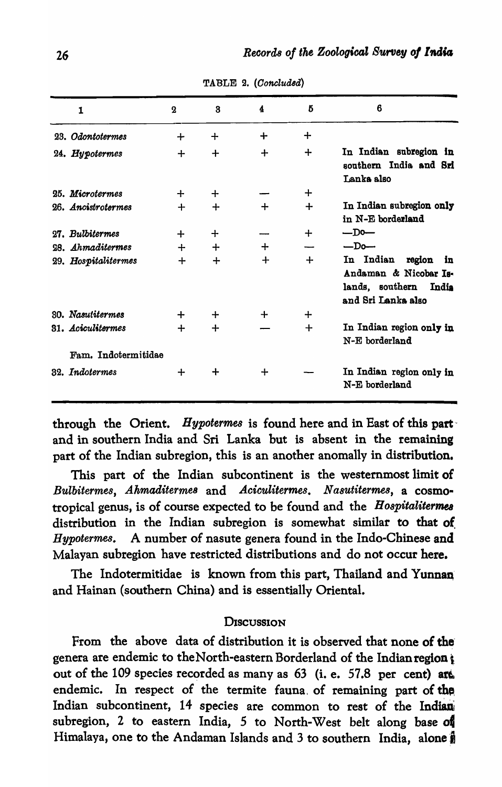| $\mathbf{1}$        | $\bf{2}$ | 3      | 4      | 5      | 6                                                                                                    |
|---------------------|----------|--------|--------|--------|------------------------------------------------------------------------------------------------------|
| 23. Odontotermes    | ┿        | $\div$ | ┿      | $\div$ |                                                                                                      |
| 24. Hypotermes      | $\div$   | $\div$ | $+$    | ┿      | In Indian subregion in<br>southern India and Sri<br>Lanka also                                       |
| 25. Microtermes     | $\div$   | ┿      |        | $\div$ |                                                                                                      |
| 26. Ancistrotermes  | ┿        | $+$    | $+$    | $\div$ | In Indian subregion only<br>in N-E borderland                                                        |
| 27. Bulbitermes     | $\div$   | $\div$ |        | $\div$ | $-Do-$                                                                                               |
| 28. Ahmaditermes    | $+$      | $+$    | $\div$ |        | $-Do-$                                                                                               |
| 29. Hospitalitermes | ╈        | $+$    | $\div$ | $\div$ | In Indian<br>region<br>in<br>Andaman & Nicobar Is-<br>lands, southern<br>India<br>and Sri Lanka also |
| 30. Nasutitermes    | $\div$   | ╈      | ┿      | ┿      |                                                                                                      |
| 31. Aciculitermes   | $\div$   | $\div$ |        | ┿      | In Indian region only in<br>N-E borderland                                                           |
| Fam. Indotermitidae |          |        |        |        |                                                                                                      |
| 32. Indotermes      | ┿        | ┿      | $\div$ |        | In Indian region only in<br>N-E borderland                                                           |

TABLE 2. (Concluded)

through the Orient. Hypotermes is found here and in East of this part and in southern India and Sri Lanka but is absent in the remaining part of the Indian subregion, this is an another anomally in distribution.

This part of the Indian subcontinent is the westernmost limit of Bulbitermes, Ahmaditermes and Aciculitermes, Nasutitermes, a cosmotropical genus, is of course expected to be found and the *Hospitalitermes* distribution in the Indian subregion is somewhat similar to that of Hypotermes. A number of nasute genera found in the Indo-Chinese and Malayan subregion have restricted distributions and do not occur here.

The Indotermitidae is known from this part, Thailand and Yunnan and Hainan (southern China) and is essentially Oriental.

#### DISCUSSION

From the above data of distribution it is observed that none of the genera are endemic to the North-eastern Borderland of the Indian region; out of the 109 species recorded as many as 63 (i. e. 57.8 per cent) are endemic. In respect of the termite fauna of remaining part of the Indian subcontinent, 14 species are common to rest of the Indian subregion, 2 to eastern India, 5 to North-West belt along base of Himalaya, one to the Andaman Islands and 3 to southern India, alone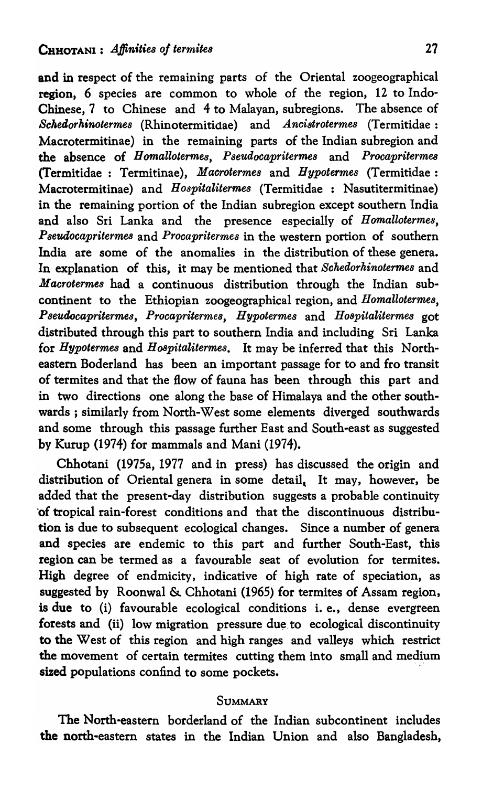and in respect of the remaining parts of the Oriental zoogeographical region, 6 species are common to whole of the region, 12 to Indo-Chinese, 7 to Chinese and 4 to Malayan, subregions. The absence of *Schedorhinotermes* (Rhinotermitidae) and *Ancistrotermes* (Termitidae: Macrotermitinae) in the remaining parts of the Indian subregion and the absence of *Bomallotermes, Pseudocapriterme8* and *Procapriterme8*  (Termitidae : Termitinae), *Macrotermes* and *Bypotermes* (Termitidae: Macrotermitinae) and *Hospitalitermes* (Termitidae : Nasutitermitinae) in the remaining portion of the Indian subregion except southern India and also Sri Lanka and the presence especially of *Homallotermes, Pseudocapriterme8* and *Procapritermes* in the western portion of southern India are some of the anomalies in the distribution of these genera. In explanation of this, it may be mentioned that *Schedorkinotermes* and *Macrotermes* had a continuous distribution through the Indian subcontinent to the Ethiopian zoogeographical region, and *Homallotermes, Pseudocapritermes, Procapritermes, Hypotermes* and *Hospitalitermes* got distributed through this part to southern India and including Sri Lanka for *Hypotermes* and *H08pitalitermes.* It may be inferred that this Northeastern Boderland has been an important passage for to and fro transit of termites and that the flow of fauna has been through this part and in two directions one along the base of Himalaya and the other southwards; similarly from North-West some elements diverged southwards and some through this passage further East and South-east as suggested by Kurup (1974) for mammals and Mani (1974).

Chhotani (1975a, 1977 and in press) has discussed the origin and distribution of Oriental genera in some detail. It may, however, be added that the present-day distribution suggests a probable continuity 'of tropical rain-forest conditions and that the discontinuous distribution is due to subsequent ecological changes. Since a number of genera and species are endemic to this part and further South-East, this region can be termed as a favourable seat of evolution for termites. High degree of endmicity, indicative of high rate of speciation, as suggested by Roonwal & Chhotani (1965) for termites of Assam region, is due to (i) favourable ecological conditions i. e., dense evergreen forests and (ii) low migration pressure due to ecological discontinuity to the West of this region and high ranges and valleys which restrict the movement of certain termites cutting them into small and medium sized populations confind to some pockets.

#### **SUMMARY**

The North-eastern borderland of the Indian subcontinent includes the north-eastern states in the Indian Union and also Bangladesh,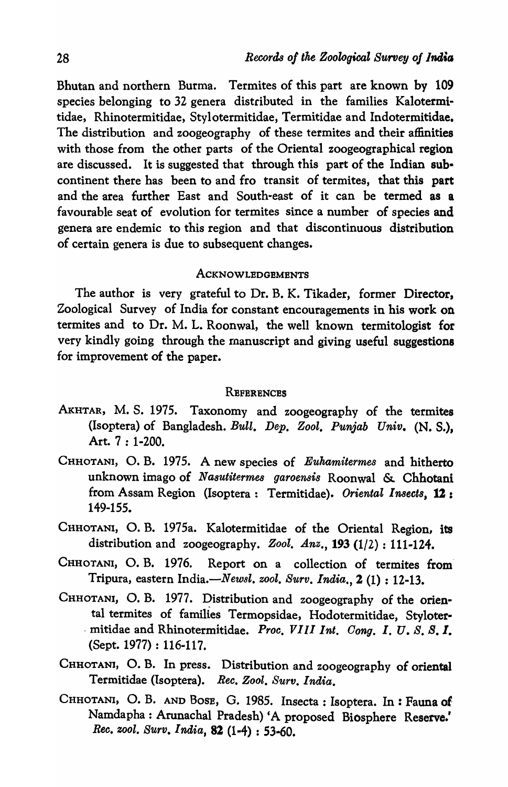Bhutan and northern Burma. Termites of this part are known by 109 species belonging to 32 genera distributed in the families Kalotermitidae, Rhinotermitidae, Stylotermitidae, Termitidae and Indotermitidae. The distribution and zoogeography of these termites and their affinities with those from the other parts of the Oriental zoogeographical region are discussed. It is suggested that through this part of the Indian subcontinent there has been to and fro transit of termites, that this part and the area further East and South-east of it can be termed as a favourable seat of evolution for termites since a number of species and genera are endemic to this region and that discontinuous distribution of certain genera is due to subsequent changes.

#### ACKNOWLEDGEMENTS

The author is very grateful to Dr. B. K. Tikader, former Director, Zoological Survey of India for constant encouragements in his work on termites and to Dr. M. L. Roonwal, the well known termitologist for very kindly going through the rnanuscript and giving useful suggestions for improvement of the paper.

#### **REFERENCES**

- AKHTAR, M. S. 1975. Taxonomy and zoogeography of the termites (Isoptera) of Bangladesh. *Bull. Dep. Zool. Punjab Univ.* (N. S.), Art. 7 : 1-200.
- CHHOTANI, O. B. 1975. A new species of *Eukamitermes* and hitherto unknown imago of *Na8utitermes garoen8is* Roonwal &. Chhotani from Assam Region (Isoptera: Termitidae). *Oriental Insects*, 12: 149-155.
- CHHOTANI, O. B. 1975a. Kalotermitidae of the Oriental Region, its distribution and zoogeography. *Zool. Anz.,* 193 (1/2) : 111-124.
- CHHOTANI, O. B. 1976. Report on a collection of termites from' Tripura, eastern India.-New8l. *zool. Surv. India.,* 2 (1) : 12-13.
- CHHOTANI, O. B. 1977. Distribution and zoogeography of the oriental termites of families Termopsidae, Hodotermitidae, Styloter- -mitidae and Rhinotermitidae. *Proe. VIII Int. Gong. 1. U. S. B.l.*  (Sept. 1977) : 116-117.
- CHHOTANI, O. B. In press. Distribution and zoogeography of oriental Termitidae (Isoptera). Rec. Zool. Surv. India.
- CHHOTANI, O. B. AND BOSE, G. 1985. Insecta: Isoptera. In: Fauna of Namdapha: Arunachal Pradesh) 'A proposed Biosphere Reserve.' *Ree. zool. Surv. I Mia,* 82 (1-4) : 53-60.